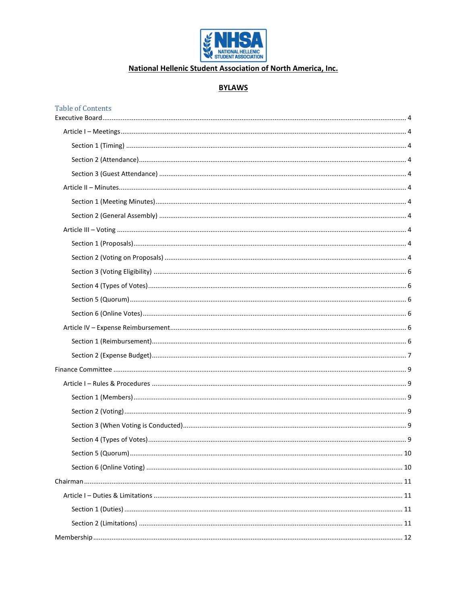

## National Hellenic Student Association of North America, Inc.

#### **BYLAWS**

#### **Table of Contents**

| . 10 |
|------|
|      |
|      |
|      |
|      |
|      |
|      |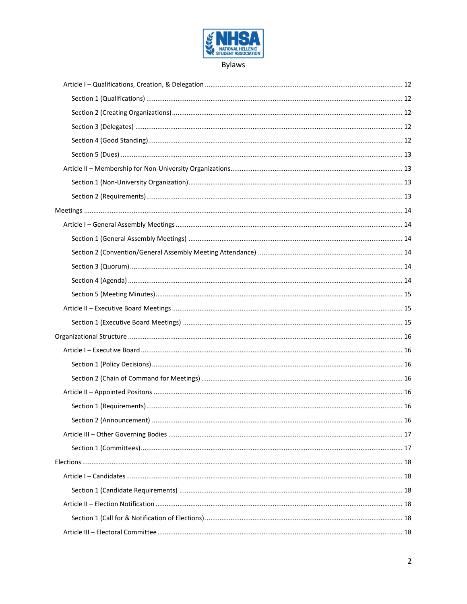

**Bylaws**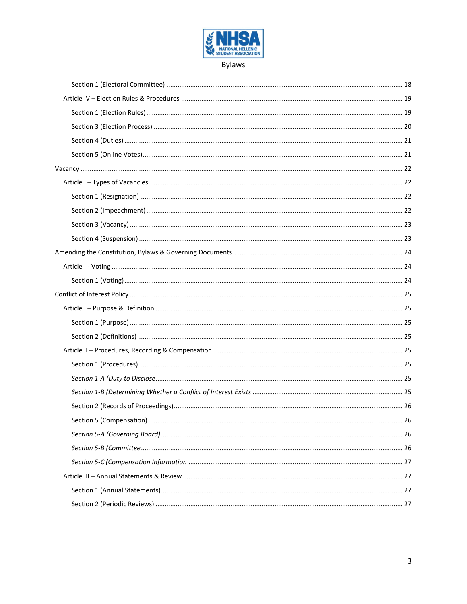

**Bylaws**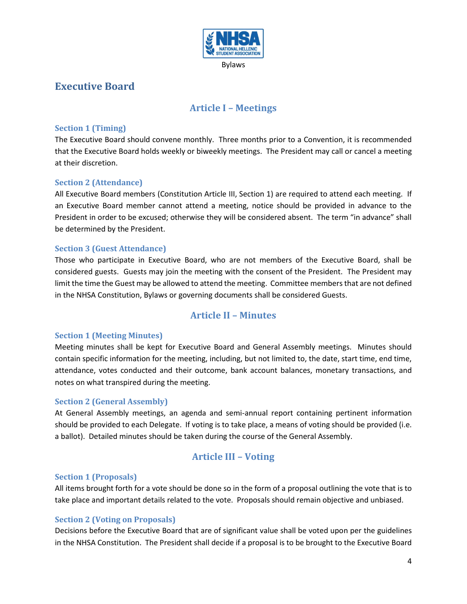

## <span id="page-3-1"></span><span id="page-3-0"></span>**Executive Board**

## **Article I – Meetings**

### <span id="page-3-2"></span>**Section 1 (Timing)**

The Executive Board should convene monthly. Three months prior to a Convention, it is recommended that the Executive Board holds weekly or biweekly meetings. The President may call or cancel a meeting at their discretion.

## <span id="page-3-3"></span>**Section 2 (Attendance)**

All Executive Board members (Constitution Article III, Section 1) are required to attend each meeting. If an Executive Board member cannot attend a meeting, notice should be provided in advance to the President in order to be excused; otherwise they will be considered absent. The term "in advance" shall be determined by the President.

### <span id="page-3-4"></span>**Section 3 (Guest Attendance)**

Those who participate in Executive Board, who are not members of the Executive Board, shall be considered guests. Guests may join the meeting with the consent of the President. The President may limit the time the Guest may be allowed to attend the meeting. Committee members that are not defined in the NHSA Constitution, Bylaws or governing documents shall be considered Guests.

## **Article II – Minutes**

### <span id="page-3-6"></span><span id="page-3-5"></span>**Section 1 (Meeting Minutes)**

Meeting minutes shall be kept for Executive Board and General Assembly meetings. Minutes should contain specific information for the meeting, including, but not limited to, the date, start time, end time, attendance, votes conducted and their outcome, bank account balances, monetary transactions, and notes on what transpired during the meeting.

#### <span id="page-3-7"></span>**Section 2 (General Assembly)**

At General Assembly meetings, an agenda and semi-annual report containing pertinent information should be provided to each Delegate. If voting is to take place, a means of voting should be provided (i.e. a ballot). Detailed minutes should be taken during the course of the General Assembly.

## **Article III – Voting**

#### <span id="page-3-9"></span><span id="page-3-8"></span>**Section 1 (Proposals)**

All items brought forth for a vote should be done so in the form of a proposal outlining the vote that is to take place and important details related to the vote. Proposals should remain objective and unbiased.

#### <span id="page-3-10"></span>**Section 2 (Voting on Proposals)**

Decisions before the Executive Board that are of significant value shall be voted upon per the guidelines in the NHSA Constitution. The President shall decide if a proposal is to be brought to the Executive Board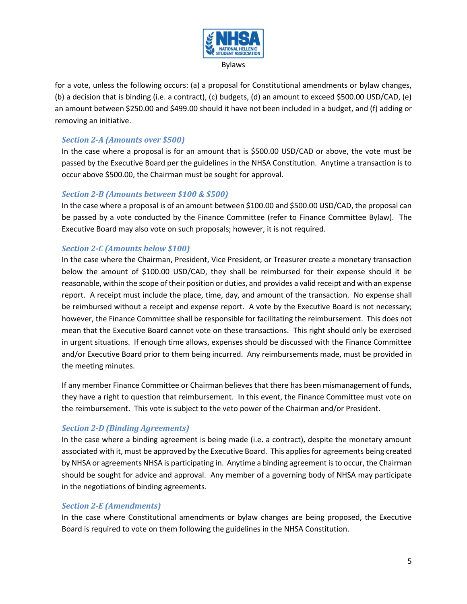

for a vote, unless the following occurs: (a) a proposal for Constitutional amendments or bylaw changes, (b) a decision that is binding (i.e. a contract), (c) budgets, (d) an amount to exceed \$500.00 USD/CAD, (e) an amount between \$250.00 and \$499.00 should it have not been included in a budget, and (f) adding or removing an initiative.

## *Section 2-A (Amounts over \$500)*

In the case where a proposal is for an amount that is \$500.00 USD/CAD or above, the vote must be passed by the Executive Board per the guidelines in the NHSA Constitution. Anytime a transaction is to occur above \$500.00, the Chairman must be sought for approval.

#### *Section 2-B (Amounts between \$100 & \$500)*

In the case where a proposal is of an amount between \$100.00 and \$500.00 USD/CAD, the proposal can be passed by a vote conducted by the Finance Committee (refer to Finance Committee Bylaw). The Executive Board may also vote on such proposals; however, it is not required.

### *Section 2-C (Amounts below \$100)*

In the case where the Chairman, President, Vice President, or Treasurer create a monetary transaction below the amount of \$100.00 USD/CAD, they shall be reimbursed for their expense should it be reasonable, within the scope of their position or duties, and provides a valid receipt and with an expense report. A receipt must include the place, time, day, and amount of the transaction. No expense shall be reimbursed without a receipt and expense report. A vote by the Executive Board is not necessary; however, the Finance Committee shall be responsible for facilitating the reimbursement. This does not mean that the Executive Board cannot vote on these transactions. This right should only be exercised in urgent situations. If enough time allows, expenses should be discussed with the Finance Committee and/or Executive Board prior to them being incurred. Any reimbursements made, must be provided in the meeting minutes.

If any member Finance Committee or Chairman believes that there has been mismanagement of funds, they have a right to question that reimbursement. In this event, the Finance Committee must vote on the reimbursement. This vote is subject to the veto power of the Chairman and/or President.

### *Section 2-D (Binding Agreements)*

In the case where a binding agreement is being made (i.e. a contract), despite the monetary amount associated with it, must be approved by the Executive Board. This applies for agreements being created by NHSA or agreements NHSA is participating in. Anytime a binding agreement is to occur, the Chairman should be sought for advice and approval. Any member of a governing body of NHSA may participate in the negotiations of binding agreements.

### *Section 2-E (Amendments)*

In the case where Constitutional amendments or bylaw changes are being proposed, the Executive Board is required to vote on them following the guidelines in the NHSA Constitution.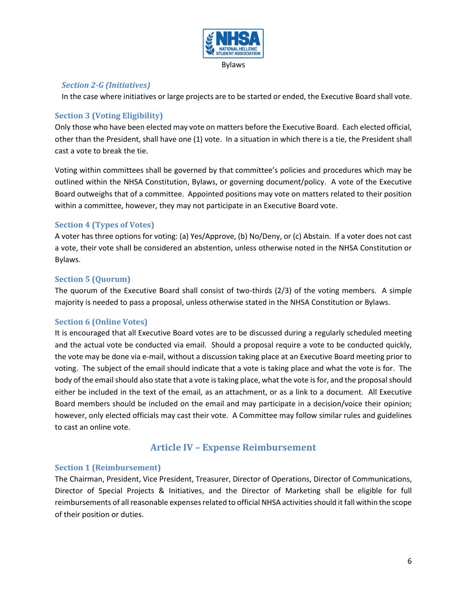

### *Section 2-G (Initiatives)*

In the case where initiatives or large projects are to be started or ended, the Executive Board shall vote.

### <span id="page-5-0"></span>**Section 3 (Voting Eligibility)**

Only those who have been elected may vote on matters before the Executive Board. Each elected official, other than the President, shall have one (1) vote. In a situation in which there is a tie, the President shall cast a vote to break the tie.

Voting within committees shall be governed by that committee's policies and procedures which may be outlined within the NHSA Constitution, Bylaws, or governing document/policy. A vote of the Executive Board outweighs that of a committee. Appointed positions may vote on matters related to their position within a committee, however, they may not participate in an Executive Board vote.

## <span id="page-5-1"></span>**Section 4 (Types of Votes)**

A voter has three options for voting: (a) Yes/Approve, (b) No/Deny, or (c) Abstain. If a voter does not cast a vote, their vote shall be considered an abstention, unless otherwise noted in the NHSA Constitution or Bylaws.

### <span id="page-5-2"></span>**Section 5 (Quorum)**

The quorum of the Executive Board shall consist of two-thirds (2/3) of the voting members. A simple majority is needed to pass a proposal, unless otherwise stated in the NHSA Constitution or Bylaws.

### <span id="page-5-3"></span>**Section 6 (Online Votes)**

It is encouraged that all Executive Board votes are to be discussed during a regularly scheduled meeting and the actual vote be conducted via email. Should a proposal require a vote to be conducted quickly, the vote may be done via e-mail, without a discussion taking place at an Executive Board meeting prior to voting. The subject of the email should indicate that a vote is taking place and what the vote is for. The body of the email should also state that a vote is taking place, what the vote is for, and the proposal should either be included in the text of the email, as an attachment, or as a link to a document. All Executive Board members should be included on the email and may participate in a decision/voice their opinion; however, only elected officials may cast their vote. A Committee may follow similar rules and guidelines to cast an online vote.

## **Article IV – Expense Reimbursement**

#### <span id="page-5-5"></span><span id="page-5-4"></span>**Section 1 (Reimbursement)**

The Chairman, President, Vice President, Treasurer, Director of Operations, Director of Communications, Director of Special Projects & Initiatives, and the Director of Marketing shall be eligible for full reimbursements of all reasonable expenses related to official NHSA activities should it fall within the scope of their position or duties.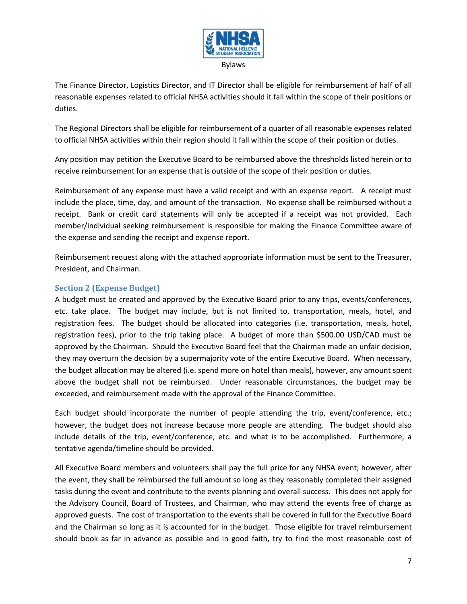

The Finance Director, Logistics Director, and IT Director shall be eligible for reimbursement of half of all reasonable expenses related to official NHSA activities should it fall within the scope of their positions or duties.

The Regional Directors shall be eligible for reimbursement of a quarter of all reasonable expenses related to official NHSA activities within their region should it fall within the scope of their position or duties.

Any position may petition the Executive Board to be reimbursed above the thresholds listed herein or to receive reimbursement for an expense that is outside of the scope of their position or duties.

Reimbursement of any expense must have a valid receipt and with an expense report. A receipt must include the place, time, day, and amount of the transaction. No expense shall be reimbursed without a receipt. Bank or credit card statements will only be accepted if a receipt was not provided. Each member/individual seeking reimbursement is responsible for making the Finance Committee aware of the expense and sending the receipt and expense report.

Reimbursement request along with the attached appropriate information must be sent to the Treasurer, President, and Chairman.

### <span id="page-6-0"></span>**Section 2 (Expense Budget)**

A budget must be created and approved by the Executive Board prior to any trips, events/conferences, etc. take place. The budget may include, but is not limited to, transportation, meals, hotel, and registration fees. The budget should be allocated into categories (i.e. transportation, meals, hotel, registration fees), prior to the trip taking place. A budget of more than \$500.00 USD/CAD must be approved by the Chairman. Should the Executive Board feel that the Chairman made an unfair decision, they may overturn the decision by a supermajority vote of the entire Executive Board. When necessary, the budget allocation may be altered (i.e. spend more on hotel than meals), however, any amount spent above the budget shall not be reimbursed. Under reasonable circumstances, the budget may be exceeded, and reimbursement made with the approval of the Finance Committee.

Each budget should incorporate the number of people attending the trip, event/conference, etc.; however, the budget does not increase because more people are attending. The budget should also include details of the trip, event/conference, etc. and what is to be accomplished. Furthermore, a tentative agenda/timeline should be provided.

All Executive Board members and volunteers shall pay the full price for any NHSA event; however, after the event, they shall be reimbursed the full amount so long as they reasonably completed their assigned tasks during the event and contribute to the events planning and overall success. This does not apply for the Advisory Council, Board of Trustees, and Chairman, who may attend the events free of charge as approved guests. The cost of transportation to the events shall be covered in full for the Executive Board and the Chairman so long as it is accounted for in the budget. Those eligible for travel reimbursement should book as far in advance as possible and in good faith, try to find the most reasonable cost of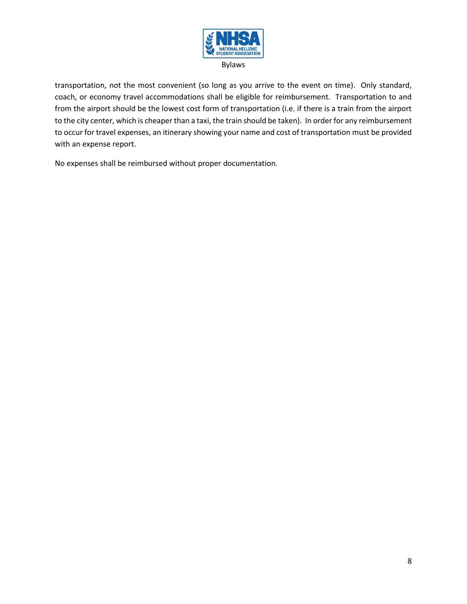

transportation, not the most convenient (so long as you arrive to the event on time). Only standard, coach, or economy travel accommodations shall be eligible for reimbursement. Transportation to and from the airport should be the lowest cost form of transportation (i.e. if there is a train from the airport to the city center, which is cheaper than a taxi, the train should be taken). In order for any reimbursement to occur for travel expenses, an itinerary showing your name and cost of transportation must be provided with an expense report.

No expenses shall be reimbursed without proper documentation.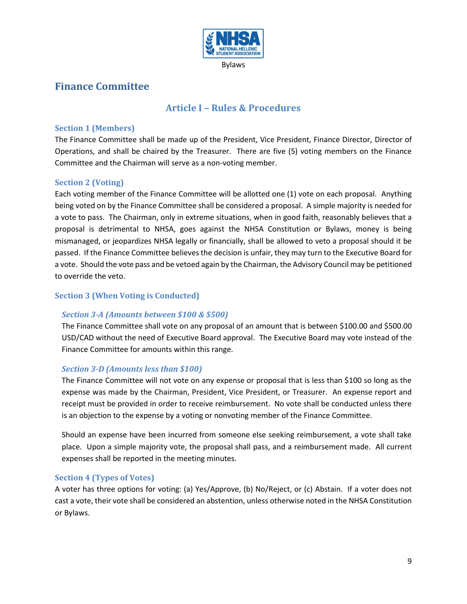

## <span id="page-8-1"></span><span id="page-8-0"></span>**Finance Committee**

## **Article I – Rules & Procedures**

#### <span id="page-8-2"></span>**Section 1 (Members)**

The Finance Committee shall be made up of the President, Vice President, Finance Director, Director of Operations, and shall be chaired by the Treasurer. There are five (5) voting members on the Finance Committee and the Chairman will serve as a non-voting member.

#### <span id="page-8-3"></span>**Section 2 (Voting)**

Each voting member of the Finance Committee will be allotted one (1) vote on each proposal. Anything being voted on by the Finance Committee shall be considered a proposal. A simple majority is needed for a vote to pass. The Chairman, only in extreme situations, when in good faith, reasonably believes that a proposal is detrimental to NHSA, goes against the NHSA Constitution or Bylaws, money is being mismanaged, or jeopardizes NHSA legally or financially, shall be allowed to veto a proposal should it be passed. If the Finance Committee believes the decision is unfair, they may turn to the Executive Board for a vote. Should the vote pass and be vetoed again by the Chairman, the Advisory Council may be petitioned to override the veto.

### <span id="page-8-4"></span>**Section 3 (When Voting is Conducted)**

#### *Section 3-A (Amounts between \$100 & \$500)*

The Finance Committee shall vote on any proposal of an amount that is between \$100.00 and \$500.00 USD/CAD without the need of Executive Board approval. The Executive Board may vote instead of the Finance Committee for amounts within this range.

#### *Section 3-D (Amounts less than \$100)*

The Finance Committee will not vote on any expense or proposal that is less than \$100 so long as the expense was made by the Chairman, President, Vice President, or Treasurer. An expense report and receipt must be provided in order to receive reimbursement. No vote shall be conducted unless there is an objection to the expense by a voting or nonvoting member of the Finance Committee.

Should an expense have been incurred from someone else seeking reimbursement, a vote shall take place. Upon a simple majority vote, the proposal shall pass, and a reimbursement made. All current expenses shall be reported in the meeting minutes.

### <span id="page-8-5"></span>**Section 4 (Types of Votes)**

A voter has three options for voting: (a) Yes/Approve, (b) No/Reject, or (c) Abstain. If a voter does not cast a vote, their vote shall be considered an abstention, unless otherwise noted in the NHSA Constitution or Bylaws.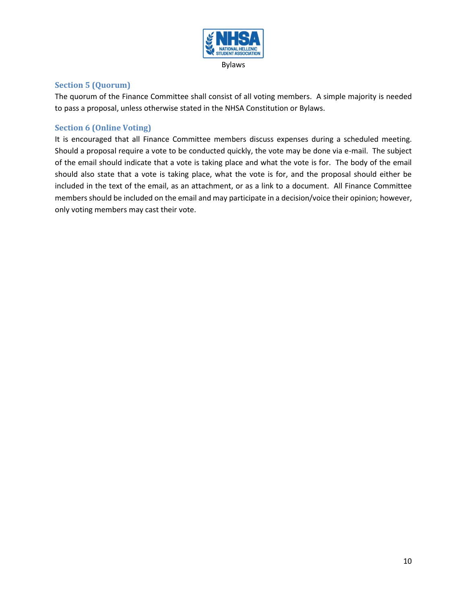

#### <span id="page-9-0"></span>**Section 5 (Quorum)**

The quorum of the Finance Committee shall consist of all voting members. A simple majority is needed to pass a proposal, unless otherwise stated in the NHSA Constitution or Bylaws.

#### <span id="page-9-1"></span>**Section 6 (Online Voting)**

It is encouraged that all Finance Committee members discuss expenses during a scheduled meeting. Should a proposal require a vote to be conducted quickly, the vote may be done via e-mail. The subject of the email should indicate that a vote is taking place and what the vote is for. The body of the email should also state that a vote is taking place, what the vote is for, and the proposal should either be included in the text of the email, as an attachment, or as a link to a document. All Finance Committee members should be included on the email and may participate in a decision/voice their opinion; however, only voting members may cast their vote.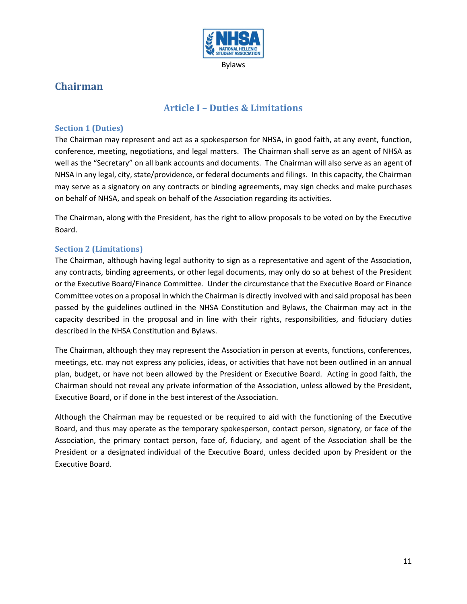

# <span id="page-10-1"></span><span id="page-10-0"></span>**Chairman**

## **Article I – Duties & Limitations**

## <span id="page-10-2"></span>**Section 1 (Duties)**

The Chairman may represent and act as a spokesperson for NHSA, in good faith, at any event, function, conference, meeting, negotiations, and legal matters. The Chairman shall serve as an agent of NHSA as well as the "Secretary" on all bank accounts and documents. The Chairman will also serve as an agent of NHSA in any legal, city, state/providence, or federal documents and filings. In this capacity, the Chairman may serve as a signatory on any contracts or binding agreements, may sign checks and make purchases on behalf of NHSA, and speak on behalf of the Association regarding its activities.

The Chairman, along with the President, has the right to allow proposals to be voted on by the Executive Board.

## <span id="page-10-3"></span>**Section 2 (Limitations)**

The Chairman, although having legal authority to sign as a representative and agent of the Association, any contracts, binding agreements, or other legal documents, may only do so at behest of the President or the Executive Board/Finance Committee. Under the circumstance that the Executive Board or Finance Committee votes on a proposal in which the Chairman is directly involved with and said proposal has been passed by the guidelines outlined in the NHSA Constitution and Bylaws, the Chairman may act in the capacity described in the proposal and in line with their rights, responsibilities, and fiduciary duties described in the NHSA Constitution and Bylaws.

The Chairman, although they may represent the Association in person at events, functions, conferences, meetings, etc. may not express any policies, ideas, or activities that have not been outlined in an annual plan, budget, or have not been allowed by the President or Executive Board. Acting in good faith, the Chairman should not reveal any private information of the Association, unless allowed by the President, Executive Board, or if done in the best interest of the Association.

Although the Chairman may be requested or be required to aid with the functioning of the Executive Board, and thus may operate as the temporary spokesperson, contact person, signatory, or face of the Association, the primary contact person, face of, fiduciary, and agent of the Association shall be the President or a designated individual of the Executive Board, unless decided upon by President or the Executive Board.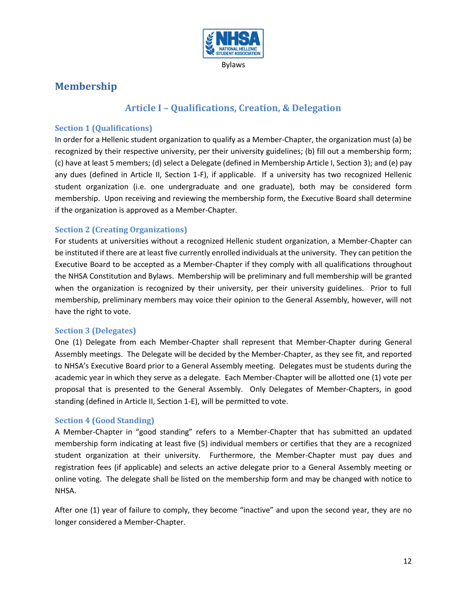

## <span id="page-11-1"></span><span id="page-11-0"></span>**Membership**

## **Article I – Qualifications, Creation, & Delegation**

#### <span id="page-11-2"></span>**Section 1 (Qualifications)**

In order for a Hellenic student organization to qualify as a Member-Chapter, the organization must (a) be recognized by their respective university, per their university guidelines; (b) fill out a membership form; (c) have at least 5 members; (d) select a Delegate (defined in Membership Article I, Section 3); and (e) pay any dues (defined in Article II, Section 1-F), if applicable. If a university has two recognized Hellenic student organization (i.e. one undergraduate and one graduate), both may be considered form membership. Upon receiving and reviewing the membership form, the Executive Board shall determine if the organization is approved as a Member-Chapter.

#### <span id="page-11-3"></span>**Section 2 (Creating Organizations)**

For students at universities without a recognized Hellenic student organization, a Member-Chapter can be instituted if there are at least five currently enrolled individuals at the university. They can petition the Executive Board to be accepted as a Member-Chapter if they comply with all qualifications throughout the NHSA Constitution and Bylaws. Membership will be preliminary and full membership will be granted when the organization is recognized by their university, per their university guidelines. Prior to full membership, preliminary members may voice their opinion to the General Assembly, however, will not have the right to vote.

#### <span id="page-11-4"></span>**Section 3 (Delegates)**

One (1) Delegate from each Member-Chapter shall represent that Member-Chapter during General Assembly meetings. The Delegate will be decided by the Member-Chapter, as they see fit, and reported to NHSA's Executive Board prior to a General Assembly meeting. Delegates must be students during the academic year in which they serve as a delegate. Each Member-Chapter will be allotted one (1) vote per proposal that is presented to the General Assembly. Only Delegates of Member-Chapters, in good standing (defined in Article II, Section 1-E), will be permitted to vote.

#### <span id="page-11-5"></span>**Section 4 (Good Standing)**

A Member-Chapter in "good standing" refers to a Member-Chapter that has submitted an updated membership form indicating at least five (5) individual members or certifies that they are a recognized student organization at their university. Furthermore, the Member-Chapter must pay dues and registration fees (if applicable) and selects an active delegate prior to a General Assembly meeting or online voting. The delegate shall be listed on the membership form and may be changed with notice to NHSA.

After one (1) year of failure to comply, they become "inactive" and upon the second year, they are no longer considered a Member-Chapter.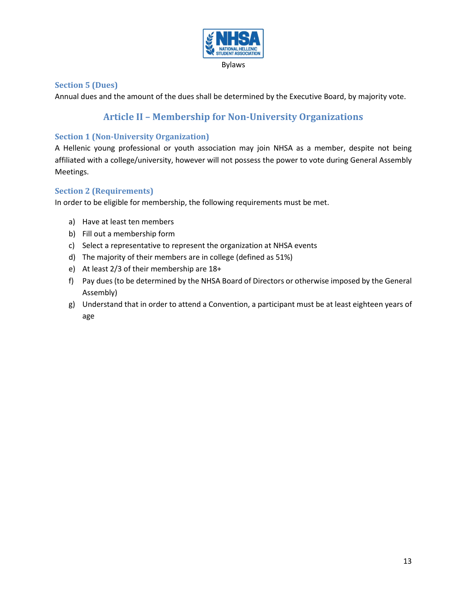

### <span id="page-12-0"></span>**Section 5 (Dues)**

<span id="page-12-1"></span>Annual dues and the amount of the dues shall be determined by the Executive Board, by majority vote.

## **Article II – Membership for Non-University Organizations**

#### <span id="page-12-2"></span>**Section 1 (Non-University Organization)**

A Hellenic young professional or youth association may join NHSA as a member, despite not being affiliated with a college/university, however will not possess the power to vote during General Assembly Meetings.

#### <span id="page-12-3"></span>**Section 2 (Requirements)**

In order to be eligible for membership, the following requirements must be met.

- a) Have at least ten members
- b) Fill out a membership form
- c) Select a representative to represent the organization at NHSA events
- d) The majority of their members are in college (defined as 51%)
- e) At least 2/3 of their membership are 18+
- f) Pay dues (to be determined by the NHSA Board of Directors or otherwise imposed by the General Assembly)
- g) Understand that in order to attend a Convention, a participant must be at least eighteen years of age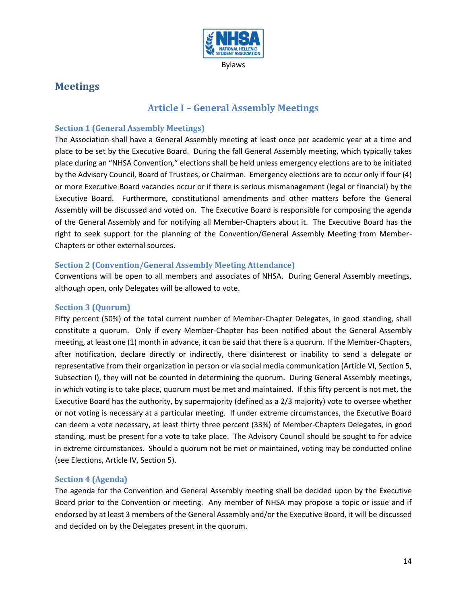

## <span id="page-13-1"></span><span id="page-13-0"></span>**Meetings**

## **Article I – General Assembly Meetings**

### <span id="page-13-2"></span>**Section 1 (General Assembly Meetings)**

The Association shall have a General Assembly meeting at least once per academic year at a time and place to be set by the Executive Board. During the fall General Assembly meeting, which typically takes place during an "NHSA Convention," elections shall be held unless emergency elections are to be initiated by the Advisory Council, Board of Trustees, or Chairman. Emergency elections are to occur only if four (4) or more Executive Board vacancies occur or if there is serious mismanagement (legal or financial) by the Executive Board. Furthermore, constitutional amendments and other matters before the General Assembly will be discussed and voted on. The Executive Board is responsible for composing the agenda of the General Assembly and for notifying all Member-Chapters about it. The Executive Board has the right to seek support for the planning of the Convention/General Assembly Meeting from Member-Chapters or other external sources.

### <span id="page-13-3"></span>**Section 2 (Convention/General Assembly Meeting Attendance)**

Conventions will be open to all members and associates of NHSA. During General Assembly meetings, although open, only Delegates will be allowed to vote.

### <span id="page-13-4"></span>**Section 3 (Quorum)**

Fifty percent (50%) of the total current number of Member-Chapter Delegates, in good standing, shall constitute a quorum. Only if every Member-Chapter has been notified about the General Assembly meeting, at least one (1) month in advance, it can be said that there is a quorum. If the Member-Chapters, after notification, declare directly or indirectly, there disinterest or inability to send a delegate or representative from their organization in person or via social media communication (Article VI, Section 5, Subsection I), they will not be counted in determining the quorum. During General Assembly meetings, in which voting is to take place, quorum must be met and maintained. If this fifty percent is not met, the Executive Board has the authority, by supermajority (defined as a 2/3 majority) vote to oversee whether or not voting is necessary at a particular meeting. If under extreme circumstances, the Executive Board can deem a vote necessary, at least thirty three percent (33%) of Member-Chapters Delegates, in good standing, must be present for a vote to take place. The Advisory Council should be sought to for advice in extreme circumstances. Should a quorum not be met or maintained, voting may be conducted online (see Elections, Article IV, Section 5).

### <span id="page-13-5"></span>**Section 4 (Agenda)**

The agenda for the Convention and General Assembly meeting shall be decided upon by the Executive Board prior to the Convention or meeting. Any member of NHSA may propose a topic or issue and if endorsed by at least 3 members of the General Assembly and/or the Executive Board, it will be discussed and decided on by the Delegates present in the quorum.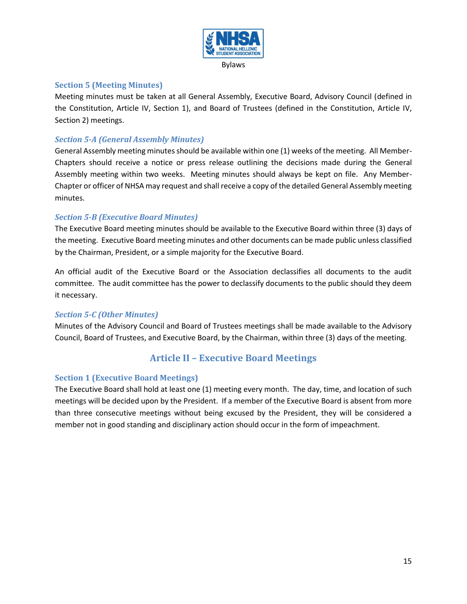

#### <span id="page-14-0"></span>**Section 5 (Meeting Minutes)**

Meeting minutes must be taken at all General Assembly, Executive Board, Advisory Council (defined in the Constitution, Article IV, Section 1), and Board of Trustees (defined in the Constitution, Article IV, Section 2) meetings.

#### *Section 5-A (General Assembly Minutes)*

General Assembly meeting minutes should be available within one (1) weeks of the meeting. All Member-Chapters should receive a notice or press release outlining the decisions made during the General Assembly meeting within two weeks. Meeting minutes should always be kept on file. Any Member-Chapter or officer of NHSA may request and shall receive a copy of the detailed General Assembly meeting minutes.

#### *Section 5-B (Executive Board Minutes)*

The Executive Board meeting minutes should be available to the Executive Board within three (3) days of the meeting. Executive Board meeting minutes and other documents can be made public unless classified by the Chairman, President, or a simple majority for the Executive Board.

An official audit of the Executive Board or the Association declassifies all documents to the audit committee. The audit committee has the power to declassify documents to the public should they deem it necessary.

#### *Section 5-C (Other Minutes)*

Minutes of the Advisory Council and Board of Trustees meetings shall be made available to the Advisory Council, Board of Trustees, and Executive Board, by the Chairman, within three (3) days of the meeting.

## **Article II – Executive Board Meetings**

#### <span id="page-14-2"></span><span id="page-14-1"></span>**Section 1 (Executive Board Meetings)**

The Executive Board shall hold at least one (1) meeting every month. The day, time, and location of such meetings will be decided upon by the President. If a member of the Executive Board is absent from more than three consecutive meetings without being excused by the President, they will be considered a member not in good standing and disciplinary action should occur in the form of impeachment.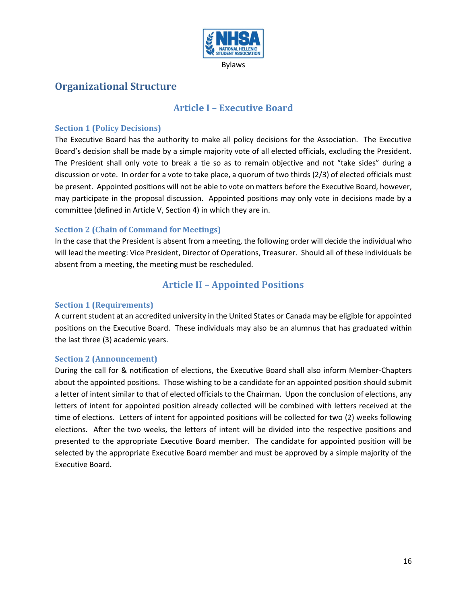

# <span id="page-15-1"></span><span id="page-15-0"></span>**Organizational Structure**

## **Article I – Executive Board**

### <span id="page-15-2"></span>**Section 1 (Policy Decisions)**

The Executive Board has the authority to make all policy decisions for the Association. The Executive Board's decision shall be made by a simple majority vote of all elected officials, excluding the President. The President shall only vote to break a tie so as to remain objective and not "take sides" during a discussion or vote. In order for a vote to take place, a quorum of two thirds (2/3) of elected officials must be present. Appointed positions will not be able to vote on matters before the Executive Board, however, may participate in the proposal discussion. Appointed positions may only vote in decisions made by a committee (defined in Article V, Section 4) in which they are in.

### <span id="page-15-3"></span>**Section 2 (Chain of Command for Meetings)**

In the case that the President is absent from a meeting, the following order will decide the individual who will lead the meeting: Vice President, Director of Operations, Treasurer. Should all of these individuals be absent from a meeting, the meeting must be rescheduled.

## **Article II – Appointed Positions**

#### <span id="page-15-5"></span><span id="page-15-4"></span>**Section 1 (Requirements)**

A current student at an accredited university in the United States or Canada may be eligible for appointed positions on the Executive Board. These individuals may also be an alumnus that has graduated within the last three (3) academic years.

#### <span id="page-15-6"></span>**Section 2 (Announcement)**

During the call for & notification of elections, the Executive Board shall also inform Member-Chapters about the appointed positions. Those wishing to be a candidate for an appointed position should submit a letter of intent similar to that of elected officials to the Chairman. Upon the conclusion of elections, any letters of intent for appointed position already collected will be combined with letters received at the time of elections. Letters of intent for appointed positions will be collected for two (2) weeks following elections. After the two weeks, the letters of intent will be divided into the respective positions and presented to the appropriate Executive Board member. The candidate for appointed position will be selected by the appropriate Executive Board member and must be approved by a simple majority of the Executive Board.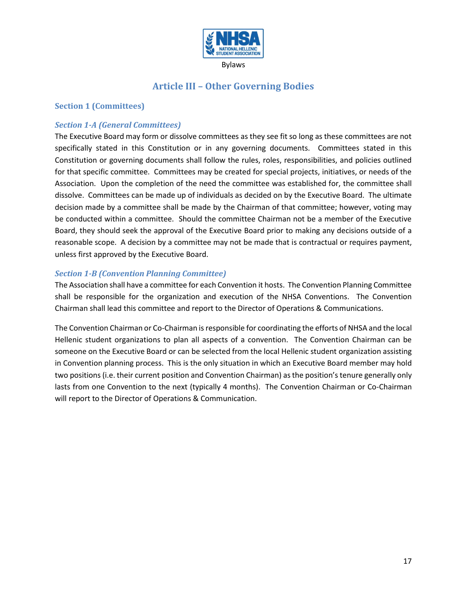

## **Article III – Other Governing Bodies**

#### <span id="page-16-1"></span><span id="page-16-0"></span>**Section 1 (Committees)**

#### *Section 1-A (General Committees)*

The Executive Board may form or dissolve committees as they see fit so long as these committees are not specifically stated in this Constitution or in any governing documents. Committees stated in this Constitution or governing documents shall follow the rules, roles, responsibilities, and policies outlined for that specific committee. Committees may be created for special projects, initiatives, or needs of the Association. Upon the completion of the need the committee was established for, the committee shall dissolve. Committees can be made up of individuals as decided on by the Executive Board. The ultimate decision made by a committee shall be made by the Chairman of that committee; however, voting may be conducted within a committee. Should the committee Chairman not be a member of the Executive Board, they should seek the approval of the Executive Board prior to making any decisions outside of a reasonable scope. A decision by a committee may not be made that is contractual or requires payment, unless first approved by the Executive Board.

#### *Section 1-B (Convention Planning Committee)*

The Association shall have a committee for each Convention it hosts. The Convention Planning Committee shall be responsible for the organization and execution of the NHSA Conventions. The Convention Chairman shall lead this committee and report to the Director of Operations & Communications.

The Convention Chairman or Co-Chairman is responsible for coordinating the efforts of NHSA and the local Hellenic student organizations to plan all aspects of a convention. The Convention Chairman can be someone on the Executive Board or can be selected from the local Hellenic student organization assisting in Convention planning process. This is the only situation in which an Executive Board member may hold two positions (i.e. their current position and Convention Chairman) as the position's tenure generally only lasts from one Convention to the next (typically 4 months). The Convention Chairman or Co-Chairman will report to the Director of Operations & Communication.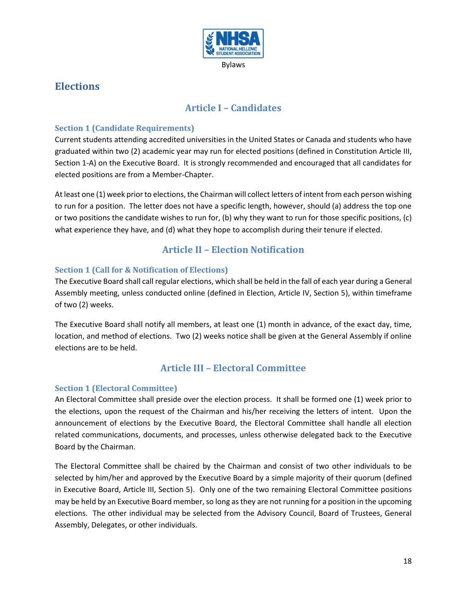

## <span id="page-17-1"></span><span id="page-17-0"></span>**Elections**

## **Article I – Candidates**

## <span id="page-17-2"></span>**Section 1 (Candidate Requirements)**

Current students attending accredited universities in the United States or Canada and students who have graduated within two (2) academic year may run for elected positions (defined in Constitution Article III, Section 1-A) on the Executive Board. It is strongly recommended and encouraged that all candidates for elected positions are from a Member-Chapter.

At least one (1) week prior to elections, the Chairman will collect letters of intent from each person wishing to run for a position. The letter does not have a specific length, however, should (a) address the top one or two positions the candidate wishes to run for, (b) why they want to run for those specific positions, (c) what experience they have, and (d) what they hope to accomplish during their tenure if elected.

## **Article II – Election Notification**

## <span id="page-17-4"></span><span id="page-17-3"></span>**Section 1 (Call for & Notification of Elections)**

The Executive Board shall call regular elections, which shall be held in the fall of each year during a General Assembly meeting, unless conducted online (defined in Election, Article IV, Section 5), within timeframe of two (2) weeks.

The Executive Board shall notify all members, at least one (1) month in advance, of the exact day, time, location, and method of elections. Two (2) weeks notice shall be given at the General Assembly if online elections are to be held.

## **Article III – Electoral Committee**

### <span id="page-17-6"></span><span id="page-17-5"></span>**Section 1 (Electoral Committee)**

An Electoral Committee shall preside over the election process. It shall be formed one (1) week prior to the elections, upon the request of the Chairman and his/her receiving the letters of intent. Upon the announcement of elections by the Executive Board, the Electoral Committee shall handle all election related communications, documents, and processes, unless otherwise delegated back to the Executive Board by the Chairman.

The Electoral Committee shall be chaired by the Chairman and consist of two other individuals to be selected by him/her and approved by the Executive Board by a simple majority of their quorum (defined in Executive Board, Article III, Section 5). Only one of the two remaining Electoral Committee positions may be held by an Executive Board member, so long as they are not running for a position in the upcoming elections. The other individual may be selected from the Advisory Council, Board of Trustees, General Assembly, Delegates, or other individuals.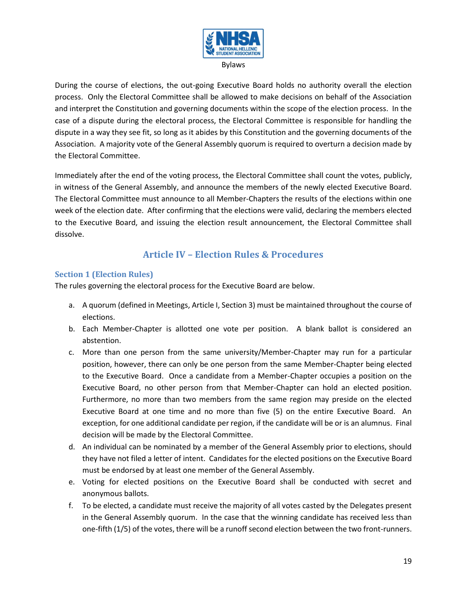

During the course of elections, the out-going Executive Board holds no authority overall the election process. Only the Electoral Committee shall be allowed to make decisions on behalf of the Association and interpret the Constitution and governing documents within the scope of the election process. In the case of a dispute during the electoral process, the Electoral Committee is responsible for handling the dispute in a way they see fit, so long as it abides by this Constitution and the governing documents of the Association. A majority vote of the General Assembly quorum is required to overturn a decision made by the Electoral Committee.

Immediately after the end of the voting process, the Electoral Committee shall count the votes, publicly, in witness of the General Assembly, and announce the members of the newly elected Executive Board. The Electoral Committee must announce to all Member-Chapters the results of the elections within one week of the election date. After confirming that the elections were valid, declaring the members elected to the Executive Board, and issuing the election result announcement, the Electoral Committee shall dissolve.

## **Article IV – Election Rules & Procedures**

## <span id="page-18-1"></span><span id="page-18-0"></span>**Section 1 (Election Rules)**

The rules governing the electoral process for the Executive Board are below.

- a. A quorum (defined in Meetings, Article I, Section 3) must be maintained throughout the course of elections.
- b. Each Member-Chapter is allotted one vote per position. A blank ballot is considered an abstention.
- c. More than one person from the same university/Member-Chapter may run for a particular position, however, there can only be one person from the same Member-Chapter being elected to the Executive Board. Once a candidate from a Member-Chapter occupies a position on the Executive Board, no other person from that Member-Chapter can hold an elected position. Furthermore, no more than two members from the same region may preside on the elected Executive Board at one time and no more than five (5) on the entire Executive Board. An exception, for one additional candidate per region, if the candidate will be or is an alumnus. Final decision will be made by the Electoral Committee.
- d. An individual can be nominated by a member of the General Assembly prior to elections, should they have not filed a letter of intent. Candidates for the elected positions on the Executive Board must be endorsed by at least one member of the General Assembly.
- e. Voting for elected positions on the Executive Board shall be conducted with secret and anonymous ballots.
- f. To be elected, a candidate must receive the majority of all votes casted by the Delegates present in the General Assembly quorum. In the case that the winning candidate has received less than one-fifth (1/5) of the votes, there will be a runoff second election between the two front-runners.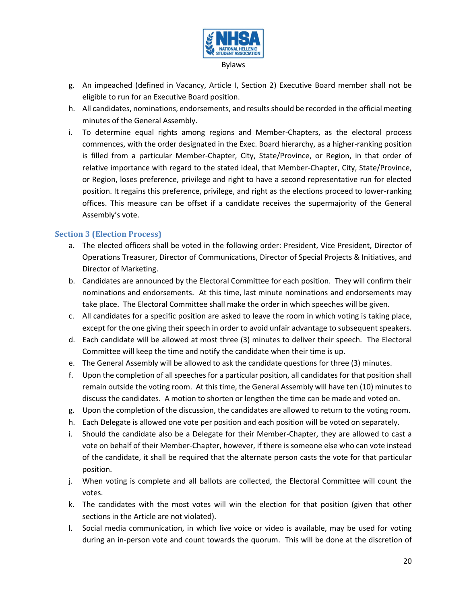

- g. An impeached (defined in Vacancy, Article I, Section 2) Executive Board member shall not be eligible to run for an Executive Board position.
- h. All candidates, nominations, endorsements, and results should be recorded in the official meeting minutes of the General Assembly.
- i. To determine equal rights among regions and Member-Chapters, as the electoral process commences, with the order designated in the Exec. Board hierarchy, as a higher-ranking position is filled from a particular Member-Chapter, City, State/Province, or Region, in that order of relative importance with regard to the stated ideal, that Member-Chapter, City, State/Province, or Region, loses preference, privilege and right to have a second representative run for elected position. It regains this preference, privilege, and right as the elections proceed to lower-ranking offices. This measure can be offset if a candidate receives the supermajority of the General Assembly's vote.

#### <span id="page-19-0"></span>**Section 3 (Election Process)**

- a. The elected officers shall be voted in the following order: President, Vice President, Director of Operations Treasurer, Director of Communications, Director of Special Projects & Initiatives, and Director of Marketing.
- b. Candidates are announced by the Electoral Committee for each position. They will confirm their nominations and endorsements. At this time, last minute nominations and endorsements may take place. The Electoral Committee shall make the order in which speeches will be given.
- c. All candidates for a specific position are asked to leave the room in which voting is taking place, except for the one giving their speech in order to avoid unfair advantage to subsequent speakers.
- d. Each candidate will be allowed at most three (3) minutes to deliver their speech. The Electoral Committee will keep the time and notify the candidate when their time is up.
- e. The General Assembly will be allowed to ask the candidate questions for three (3) minutes.
- f. Upon the completion of all speeches for a particular position, all candidates for that position shall remain outside the voting room. At this time, the General Assembly will have ten (10) minutes to discuss the candidates. A motion to shorten or lengthen the time can be made and voted on.
- g. Upon the completion of the discussion, the candidates are allowed to return to the voting room.
- h. Each Delegate is allowed one vote per position and each position will be voted on separately.
- i. Should the candidate also be a Delegate for their Member-Chapter, they are allowed to cast a vote on behalf of their Member-Chapter, however, if there is someone else who can vote instead of the candidate, it shall be required that the alternate person casts the vote for that particular position.
- j. When voting is complete and all ballots are collected, the Electoral Committee will count the votes.
- k. The candidates with the most votes will win the election for that position (given that other sections in the Article are not violated).
- l. Social media communication, in which live voice or video is available, may be used for voting during an in-person vote and count towards the quorum. This will be done at the discretion of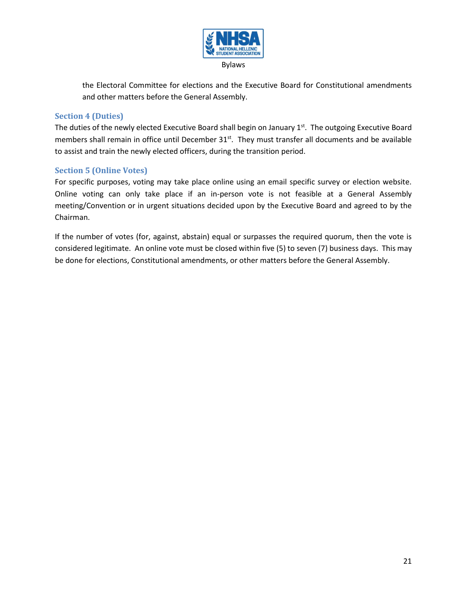

the Electoral Committee for elections and the Executive Board for Constitutional amendments and other matters before the General Assembly.

### <span id="page-20-0"></span>**Section 4 (Duties)**

The duties of the newly elected Executive Board shall begin on January 1<sup>st</sup>. The outgoing Executive Board members shall remain in office until December 31<sup>st</sup>. They must transfer all documents and be available to assist and train the newly elected officers, during the transition period.

## <span id="page-20-1"></span>**Section 5 (Online Votes)**

For specific purposes, voting may take place online using an email specific survey or election website. Online voting can only take place if an in-person vote is not feasible at a General Assembly meeting/Convention or in urgent situations decided upon by the Executive Board and agreed to by the Chairman.

If the number of votes (for, against, abstain) equal or surpasses the required quorum, then the vote is considered legitimate. An online vote must be closed within five (5) to seven (7) business days. This may be done for elections, Constitutional amendments, or other matters before the General Assembly.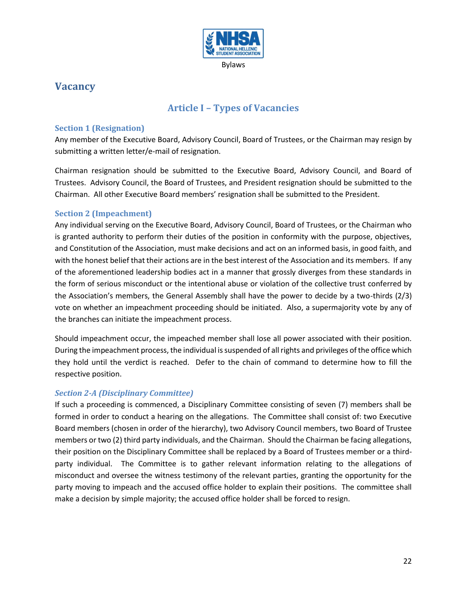

## <span id="page-21-1"></span><span id="page-21-0"></span>**Vacancy**

## **Article I – Types of Vacancies**

## <span id="page-21-2"></span>**Section 1 (Resignation)**

Any member of the Executive Board, Advisory Council, Board of Trustees, or the Chairman may resign by submitting a written letter/e-mail of resignation.

Chairman resignation should be submitted to the Executive Board, Advisory Council, and Board of Trustees. Advisory Council, the Board of Trustees, and President resignation should be submitted to the Chairman. All other Executive Board members' resignation shall be submitted to the President.

## <span id="page-21-3"></span>**Section 2 (Impeachment)**

Any individual serving on the Executive Board, Advisory Council, Board of Trustees, or the Chairman who is granted authority to perform their duties of the position in conformity with the purpose, objectives, and Constitution of the Association, must make decisions and act on an informed basis, in good faith, and with the honest belief that their actions are in the best interest of the Association and its members. If any of the aforementioned leadership bodies act in a manner that grossly diverges from these standards in the form of serious misconduct or the intentional abuse or violation of the collective trust conferred by the Association's members, the General Assembly shall have the power to decide by a two-thirds (2/3) vote on whether an impeachment proceeding should be initiated. Also, a supermajority vote by any of the branches can initiate the impeachment process.

Should impeachment occur, the impeached member shall lose all power associated with their position. During the impeachment process, the individual is suspended of all rights and privileges of the office which they hold until the verdict is reached. Defer to the chain of command to determine how to fill the respective position.

### *Section 2-A (Disciplinary Committee)*

If such a proceeding is commenced, a Disciplinary Committee consisting of seven (7) members shall be formed in order to conduct a hearing on the allegations. The Committee shall consist of: two Executive Board members (chosen in order of the hierarchy), two Advisory Council members, two Board of Trustee members or two (2) third party individuals, and the Chairman. Should the Chairman be facing allegations, their position on the Disciplinary Committee shall be replaced by a Board of Trustees member or a thirdparty individual. The Committee is to gather relevant information relating to the allegations of misconduct and oversee the witness testimony of the relevant parties, granting the opportunity for the party moving to impeach and the accused office holder to explain their positions. The committee shall make a decision by simple majority; the accused office holder shall be forced to resign.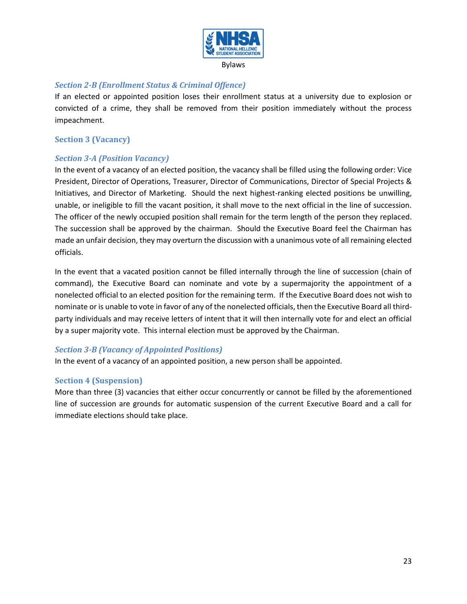

#### Bylaws

#### *Section 2-B (Enrollment Status & Criminal Offence)*

If an elected or appointed position loses their enrollment status at a university due to explosion or convicted of a crime, they shall be removed from their position immediately without the process impeachment.

#### <span id="page-22-0"></span>**Section 3 (Vacancy)**

### *Section 3-A (Position Vacancy)*

In the event of a vacancy of an elected position, the vacancy shall be filled using the following order: Vice President, Director of Operations, Treasurer, Director of Communications, Director of Special Projects & Initiatives, and Director of Marketing. Should the next highest-ranking elected positions be unwilling, unable, or ineligible to fill the vacant position, it shall move to the next official in the line of succession. The officer of the newly occupied position shall remain for the term length of the person they replaced. The succession shall be approved by the chairman. Should the Executive Board feel the Chairman has made an unfair decision, they may overturn the discussion with a unanimous vote of all remaining elected officials.

In the event that a vacated position cannot be filled internally through the line of succession (chain of command), the Executive Board can nominate and vote by a supermajority the appointment of a nonelected official to an elected position for the remaining term. If the Executive Board does not wish to nominate or is unable to vote in favor of any of the nonelected officials, then the Executive Board all thirdparty individuals and may receive letters of intent that it will then internally vote for and elect an official by a super majority vote. This internal election must be approved by the Chairman.

### *Section 3-B (Vacancy of Appointed Positions)*

In the event of a vacancy of an appointed position, a new person shall be appointed.

### <span id="page-22-1"></span>**Section 4 (Suspension)**

More than three (3) vacancies that either occur concurrently or cannot be filled by the aforementioned line of succession are grounds for automatic suspension of the current Executive Board and a call for immediate elections should take place.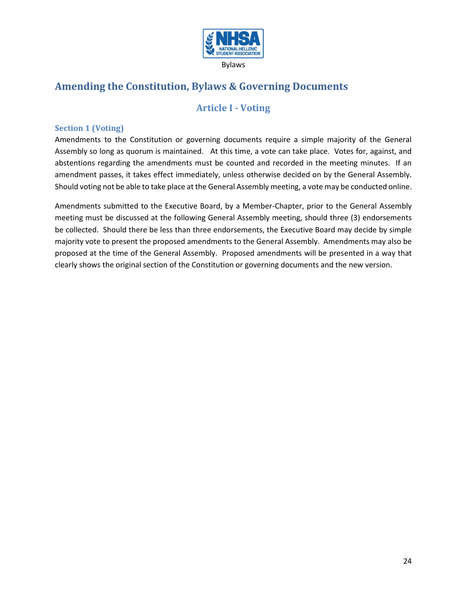

# <span id="page-23-1"></span><span id="page-23-0"></span>**Amending the Constitution, Bylaws & Governing Documents**

## **Article I - Voting**

### <span id="page-23-2"></span>**Section 1 (Voting)**

Amendments to the Constitution or governing documents require a simple majority of the General Assembly so long as quorum is maintained. At this time, a vote can take place. Votes for, against, and abstentions regarding the amendments must be counted and recorded in the meeting minutes. If an amendment passes, it takes effect immediately, unless otherwise decided on by the General Assembly. Should voting not be able to take place at the General Assembly meeting, a vote may be conducted online.

Amendments submitted to the Executive Board, by a Member-Chapter, prior to the General Assembly meeting must be discussed at the following General Assembly meeting, should three (3) endorsements be collected. Should there be less than three endorsements, the Executive Board may decide by simple majority vote to present the proposed amendments to the General Assembly. Amendments may also be proposed at the time of the General Assembly. Proposed amendments will be presented in a way that clearly shows the original section of the Constitution or governing documents and the new version.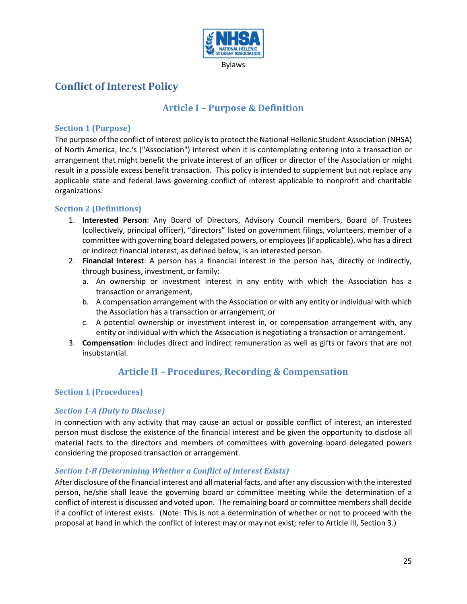

# <span id="page-24-1"></span><span id="page-24-0"></span>**Conflict of Interest Policy**

## **Article I – Purpose & Definition**

#### <span id="page-24-2"></span>**Section 1 (Purpose)**

The purpose of the conflict of interest policy isto protect the National Hellenic Student Association (NHSA) of North America, Inc.'s ("Association") interest when it is contemplating entering into a transaction or arrangement that might benefit the private interest of an officer or director of the Association or might result in a possible excess benefit transaction. This policy is intended to supplement but not replace any applicable state and federal laws governing conflict of interest applicable to nonprofit and charitable organizations.

#### <span id="page-24-3"></span>**Section 2 (Definitions)**

- 1. **Interested Person**: Any Board of Directors, Advisory Council members, Board of Trustees (collectively, principal officer), "directors" listed on government filings, volunteers, member of a committee with governing board delegated powers, or employees(if applicable), who has a direct or indirect financial interest, as defined below, is an interested person.
- 2. **Financial Interest**: A person has a financial interest in the person has, directly or indirectly, through business, investment, or family:
	- a. An ownership or investment interest in any entity with which the Association has a transaction or arrangement,
	- b. A compensation arrangement with the Association or with any entity or individual with which the Association has a transaction or arrangement, or
	- c. A potential ownership or investment interest in, or compensation arrangement with, any entity or individual with which the Association is negotiating a transaction or arrangement.
- <span id="page-24-4"></span>3. **Compensation**: includes direct and indirect remuneration as well as gifts or favors that are not insubstantial.

## **Article II – Procedures, Recording & Compensation**

### <span id="page-24-5"></span>**Section 1 (Procedures)**

### <span id="page-24-6"></span>*Section 1-A (Duty to Disclose)*

In connection with any activity that may cause an actual or possible conflict of interest, an interested person must disclose the existence of the financial interest and be given the opportunity to disclose all material facts to the directors and members of committees with governing board delegated powers considering the proposed transaction or arrangement.

#### <span id="page-24-7"></span>*Section 1-B (Determining Whether a Conflict of Interest Exists)*

After disclosure of the financial interest and all material facts, and after any discussion with the interested person, he/she shall leave the governing board or committee meeting while the determination of a conflict of interest is discussed and voted upon. The remaining board or committee membersshall decide if a conflict of interest exists. (Note: This is not a determination of whether or not to proceed with the proposal at hand in which the conflict of interest may or may not exist; refer to Article III, Section 3.)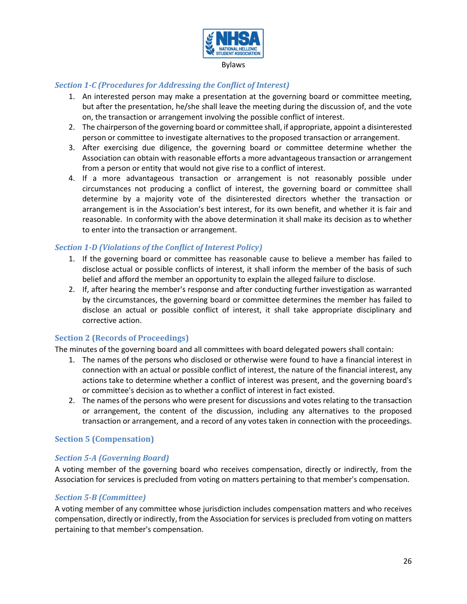

#### Bylaws

## *Section 1-C (Procedures for Addressing the Conflict of Interest)*

- 1. An interested person may make a presentation at the governing board or committee meeting, but after the presentation, he/she shall leave the meeting during the discussion of, and the vote on, the transaction or arrangement involving the possible conflict of interest.
- 2. The chairperson of the governing board or committee shall, if appropriate, appoint a disinterested person or committee to investigate alternatives to the proposed transaction or arrangement.
- 3. After exercising due diligence, the governing board or committee determine whether the Association can obtain with reasonable efforts a more advantageous transaction or arrangement from a person or entity that would not give rise to a conflict of interest.
- 4. If a more advantageous transaction or arrangement is not reasonably possible under circumstances not producing a conflict of interest, the governing board or committee shall determine by a majority vote of the disinterested directors whether the transaction or arrangement is in the Association's best interest, for its own benefit, and whether it is fair and reasonable. In conformity with the above determination it shall make its decision as to whether to enter into the transaction or arrangement.

## *Section 1-D (Violations of the Conflict of Interest Policy)*

- 1. If the governing board or committee has reasonable cause to believe a member has failed to disclose actual or possible conflicts of interest, it shall inform the member of the basis of such belief and afford the member an opportunity to explain the alleged failure to disclose.
- 2. If, after hearing the member's response and after conducting further investigation as warranted by the circumstances, the governing board or committee determines the member has failed to disclose an actual or possible conflict of interest, it shall take appropriate disciplinary and corrective action.

### <span id="page-25-0"></span>**Section 2 (Records of Proceedings)**

The minutes of the governing board and all committees with board delegated powers shall contain:

- 1. The names of the persons who disclosed or otherwise were found to have a financial interest in connection with an actual or possible conflict of interest, the nature of the financial interest, any actions take to determine whether a conflict of interest was present, and the governing board's or committee's decision as to whether a conflict of interest in fact existed.
- 2. The names of the persons who were present for discussions and votes relating to the transaction or arrangement, the content of the discussion, including any alternatives to the proposed transaction or arrangement, and a record of any votes taken in connection with the proceedings.

### <span id="page-25-1"></span>**Section 5 (Compensation)**

#### <span id="page-25-2"></span>*Section 5-A (Governing Board)*

A voting member of the governing board who receives compensation, directly or indirectly, from the Association for services is precluded from voting on matters pertaining to that member's compensation.

#### <span id="page-25-3"></span>*Section 5-B (Committee)*

A voting member of any committee whose jurisdiction includes compensation matters and who receives compensation, directly or indirectly, from the Association for services is precluded from voting on matters pertaining to that member's compensation.